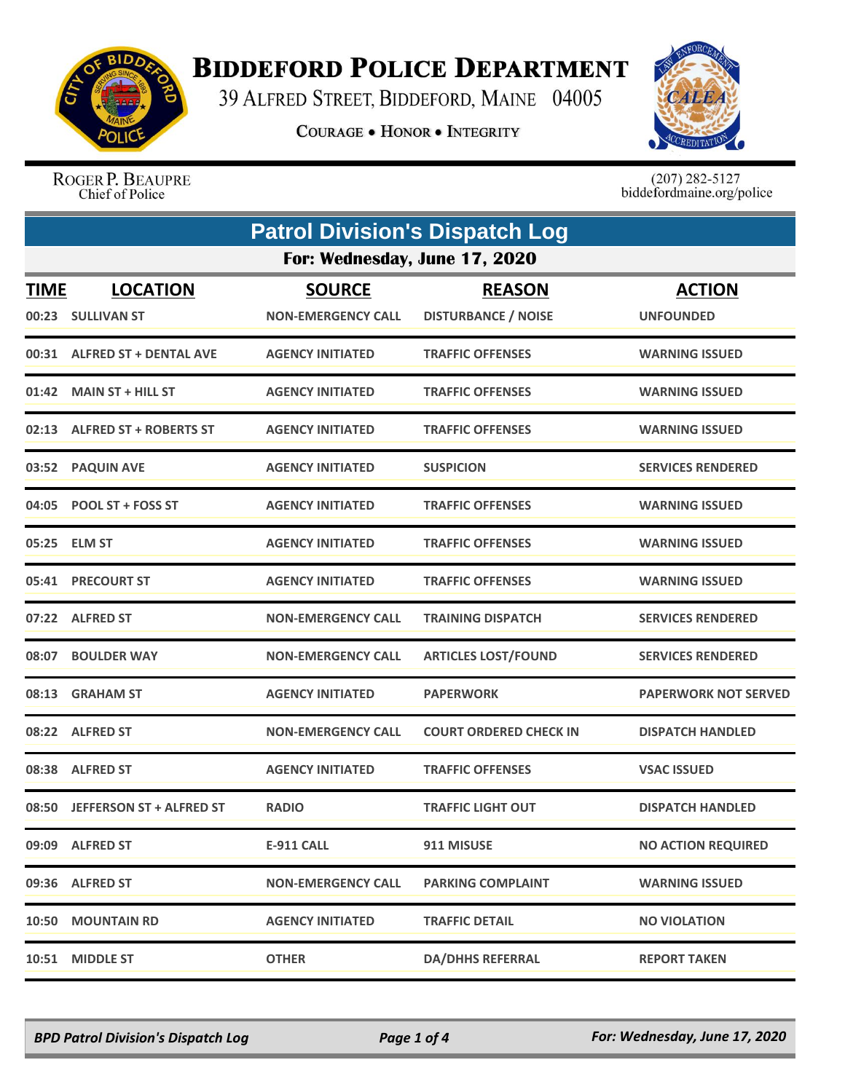

## **BIDDEFORD POLICE DEPARTMENT**

39 ALFRED STREET, BIDDEFORD, MAINE 04005

**COURAGE . HONOR . INTEGRITY** 



ROGER P. BEAUPRE Chief of Police

 $(207)$  282-5127<br>biddefordmaine.org/police

|             | <b>Patrol Division's Dispatch Log</b> |                                            |                                             |                                   |  |
|-------------|---------------------------------------|--------------------------------------------|---------------------------------------------|-----------------------------------|--|
|             | For: Wednesday, June 17, 2020         |                                            |                                             |                                   |  |
| <b>TIME</b> | <b>LOCATION</b><br>00:23 SULLIVAN ST  | <b>SOURCE</b><br><b>NON-EMERGENCY CALL</b> | <b>REASON</b><br><b>DISTURBANCE / NOISE</b> | <b>ACTION</b><br><b>UNFOUNDED</b> |  |
|             | 00:31 ALFRED ST + DENTAL AVE          | <b>AGENCY INITIATED</b>                    | <b>TRAFFIC OFFENSES</b>                     | <b>WARNING ISSUED</b>             |  |
|             | 01:42 MAIN ST + HILL ST               | <b>AGENCY INITIATED</b>                    | <b>TRAFFIC OFFENSES</b>                     | <b>WARNING ISSUED</b>             |  |
|             | 02:13 ALFRED ST + ROBERTS ST          | <b>AGENCY INITIATED</b>                    | <b>TRAFFIC OFFENSES</b>                     | <b>WARNING ISSUED</b>             |  |
|             | 03:52 PAQUIN AVE                      | <b>AGENCY INITIATED</b>                    | <b>SUSPICION</b>                            | <b>SERVICES RENDERED</b>          |  |
|             | 04:05 POOL ST + FOSS ST               | <b>AGENCY INITIATED</b>                    | <b>TRAFFIC OFFENSES</b>                     | <b>WARNING ISSUED</b>             |  |
|             | 05:25 ELM ST                          | <b>AGENCY INITIATED</b>                    | <b>TRAFFIC OFFENSES</b>                     | <b>WARNING ISSUED</b>             |  |
| 05:41       | <b>PRECOURT ST</b>                    | <b>AGENCY INITIATED</b>                    | <b>TRAFFIC OFFENSES</b>                     | <b>WARNING ISSUED</b>             |  |
|             | 07:22 ALFRED ST                       | <b>NON-EMERGENCY CALL</b>                  | <b>TRAINING DISPATCH</b>                    | <b>SERVICES RENDERED</b>          |  |
|             | 08:07 BOULDER WAY                     | <b>NON-EMERGENCY CALL</b>                  | <b>ARTICLES LOST/FOUND</b>                  | <b>SERVICES RENDERED</b>          |  |
| 08:13       | <b>GRAHAM ST</b>                      | <b>AGENCY INITIATED</b>                    | <b>PAPERWORK</b>                            | <b>PAPERWORK NOT SERVED</b>       |  |
|             | 08:22 ALFRED ST                       | <b>NON-EMERGENCY CALL</b>                  | <b>COURT ORDERED CHECK IN</b>               | <b>DISPATCH HANDLED</b>           |  |
|             | 08:38 ALFRED ST                       | <b>AGENCY INITIATED</b>                    | <b>TRAFFIC OFFENSES</b>                     | <b>VSAC ISSUED</b>                |  |
|             | 08:50 JEFFERSON ST + ALFRED ST        | <b>RADIO</b>                               | <b>TRAFFIC LIGHT OUT</b>                    | <b>DISPATCH HANDLED</b>           |  |
|             | 09:09 ALFRED ST                       | <b>E-911 CALL</b>                          | 911 MISUSE                                  | <b>NO ACTION REQUIRED</b>         |  |
|             | 09:36 ALFRED ST                       | <b>NON-EMERGENCY CALL</b>                  | <b>PARKING COMPLAINT</b>                    | <b>WARNING ISSUED</b>             |  |
|             | 10:50 MOUNTAIN RD                     | <b>AGENCY INITIATED</b>                    | <b>TRAFFIC DETAIL</b>                       | <b>NO VIOLATION</b>               |  |
|             | 10:51 MIDDLE ST                       | <b>OTHER</b>                               | <b>DA/DHHS REFERRAL</b>                     | <b>REPORT TAKEN</b>               |  |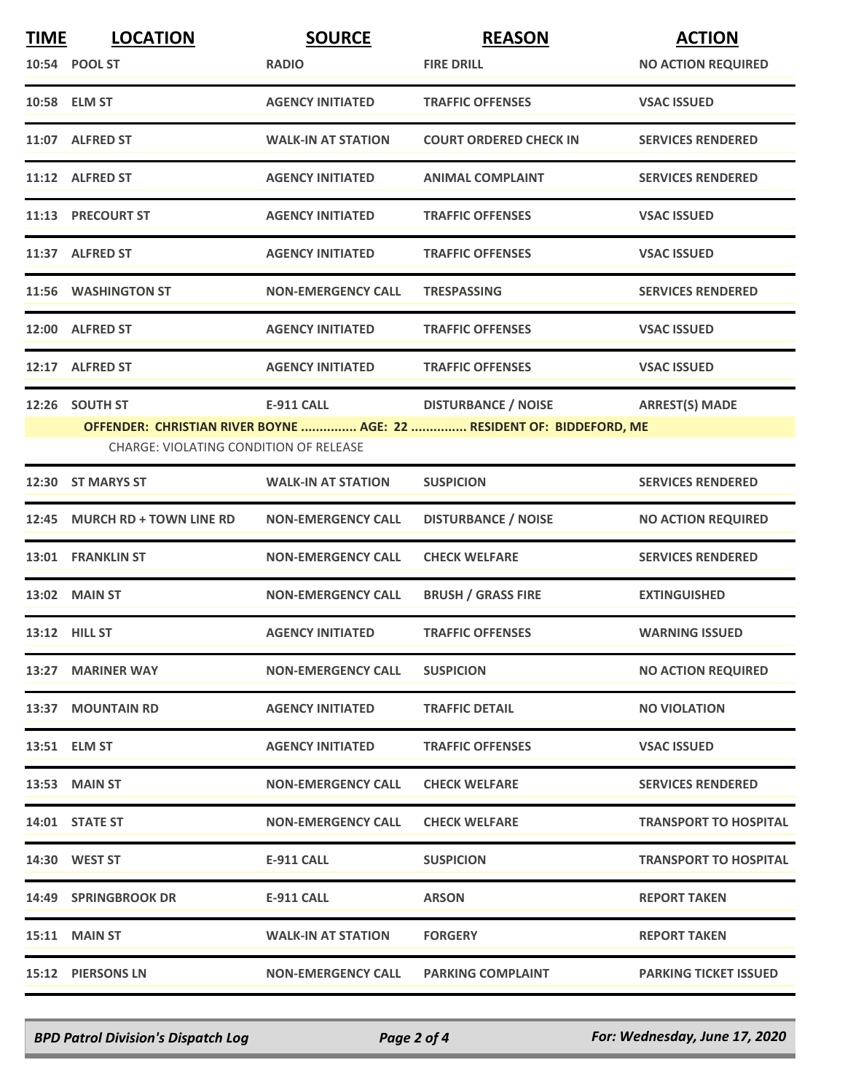| <b>TIME</b> | <b>LOCATION</b>                                          | <b>SOURCE</b>             | <b>REASON</b>                                                                                              | <b>ACTION</b>                |
|-------------|----------------------------------------------------------|---------------------------|------------------------------------------------------------------------------------------------------------|------------------------------|
|             | 10:54 POOL ST                                            | <b>RADIO</b>              | <b>FIRE DRILL</b>                                                                                          | <b>NO ACTION REQUIRED</b>    |
|             | 10:58 ELM ST                                             | <b>AGENCY INITIATED</b>   | <b>TRAFFIC OFFENSES</b>                                                                                    | <b>VSAC ISSUED</b>           |
|             | 11:07 ALFRED ST                                          | <b>WALK-IN AT STATION</b> | <b>COURT ORDERED CHECK IN</b>                                                                              | <b>SERVICES RENDERED</b>     |
|             | 11:12 ALFRED ST                                          | <b>AGENCY INITIATED</b>   | <b>ANIMAL COMPLAINT</b>                                                                                    | <b>SERVICES RENDERED</b>     |
|             | 11:13 PRECOURT ST                                        | <b>AGENCY INITIATED</b>   | <b>TRAFFIC OFFENSES</b>                                                                                    | <b>VSAC ISSUED</b>           |
|             | 11:37 ALFRED ST                                          | <b>AGENCY INITIATED</b>   | <b>TRAFFIC OFFENSES</b>                                                                                    | <b>VSAC ISSUED</b>           |
|             | 11:56 WASHINGTON ST                                      | <b>NON-EMERGENCY CALL</b> | <b>TRESPASSING</b>                                                                                         | <b>SERVICES RENDERED</b>     |
|             | 12:00 ALFRED ST                                          | <b>AGENCY INITIATED</b>   | <b>TRAFFIC OFFENSES</b>                                                                                    | <b>VSAC ISSUED</b>           |
|             | 12:17 ALFRED ST                                          | <b>AGENCY INITIATED</b>   | <b>TRAFFIC OFFENSES</b>                                                                                    | <b>VSAC ISSUED</b>           |
|             | 12:26 SOUTH ST<br>CHARGE: VIOLATING CONDITION OF RELEASE | <b>E-911 CALL</b>         | DISTURBANCE / NOISE ARREST(S) MADE<br>OFFENDER: CHRISTIAN RIVER BOYNE  AGE: 22  RESIDENT OF: BIDDEFORD, ME |                              |
|             | 12:30 ST MARYS ST                                        | <b>WALK-IN AT STATION</b> | <b>SUSPICION</b>                                                                                           | <b>SERVICES RENDERED</b>     |
|             | 12:45 MURCH RD + TOWN LINE RD                            | <b>NON-EMERGENCY CALL</b> | <b>DISTURBANCE / NOISE</b>                                                                                 | <b>NO ACTION REQUIRED</b>    |
|             | 13:01 FRANKLIN ST                                        | <b>NON-EMERGENCY CALL</b> | <b>CHECK WELFARE</b>                                                                                       | <b>SERVICES RENDERED</b>     |
|             | 13:02 MAIN ST                                            | <b>NON-EMERGENCY CALL</b> | <b>BRUSH / GRASS FIRE</b>                                                                                  | <b>EXTINGUISHED</b>          |
|             | 13:12 HILL ST                                            | <b>AGENCY INITIATED</b>   | <b>TRAFFIC OFFENSES</b>                                                                                    | <b>WARNING ISSUED</b>        |
|             | 13:27 MARINER WAY                                        | <b>NON-EMERGENCY CALL</b> | <b>SUSPICION</b>                                                                                           | <b>NO ACTION REQUIRED</b>    |
|             | 13:37 MOUNTAIN RD                                        | <b>AGENCY INITIATED</b>   | <b>TRAFFIC DETAIL</b>                                                                                      | <b>NO VIOLATION</b>          |
|             | 13:51 ELM ST                                             | <b>AGENCY INITIATED</b>   | <b>TRAFFIC OFFENSES</b>                                                                                    | <b>VSAC ISSUED</b>           |
|             | <b>13:53 MAIN ST</b>                                     | <b>NON-EMERGENCY CALL</b> | <b>CHECK WELFARE</b>                                                                                       | <b>SERVICES RENDERED</b>     |
|             | 14:01 STATE ST                                           | <b>NON-EMERGENCY CALL</b> | <b>CHECK WELFARE</b>                                                                                       | <b>TRANSPORT TO HOSPITAL</b> |
|             | 14:30 WEST ST                                            | <b>E-911 CALL</b>         | <b>SUSPICION</b>                                                                                           | <b>TRANSPORT TO HOSPITAL</b> |
|             | 14:49 SPRINGBROOK DR                                     | E-911 CALL                | <b>ARSON</b>                                                                                               | <b>REPORT TAKEN</b>          |
|             | <b>15:11 MAIN ST</b>                                     | <b>WALK-IN AT STATION</b> | <b>FORGERY</b>                                                                                             | <b>REPORT TAKEN</b>          |
|             | 15:12 PIERSONS LN                                        | <b>NON-EMERGENCY CALL</b> | <b>PARKING COMPLAINT</b>                                                                                   | <b>PARKING TICKET ISSUED</b> |

*BPD Patrol Division's Dispatch Log Page 2 of 4 For: Wednesday, June 17, 2020*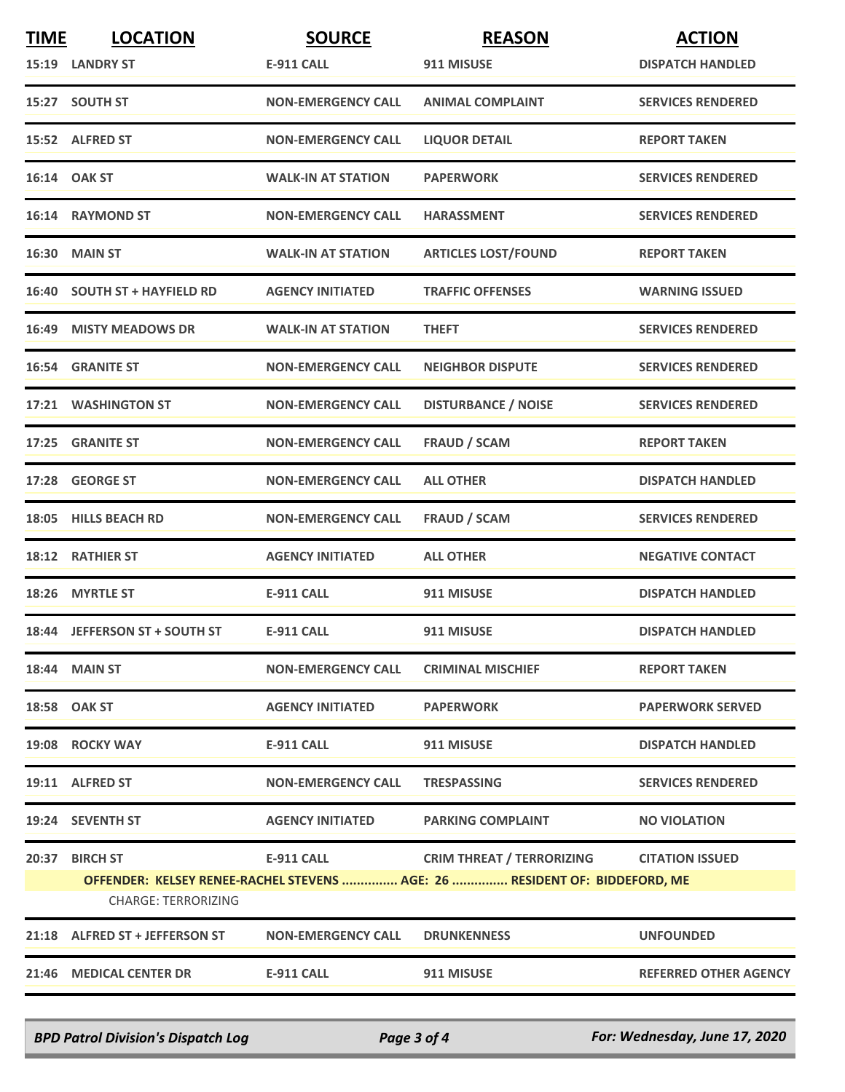| <b>TIME</b> | <b>LOCATION</b>                                                                                                                                                                                                | <b>SOURCE</b>             | <b>REASON</b>              | <b>ACTION</b>                |
|-------------|----------------------------------------------------------------------------------------------------------------------------------------------------------------------------------------------------------------|---------------------------|----------------------------|------------------------------|
|             | 15:19 LANDRY ST                                                                                                                                                                                                | <b>E-911 CALL</b>         | 911 MISUSE                 | <b>DISPATCH HANDLED</b>      |
|             | 15:27 SOUTH ST                                                                                                                                                                                                 | <b>NON-EMERGENCY CALL</b> | <b>ANIMAL COMPLAINT</b>    | <b>SERVICES RENDERED</b>     |
|             | 15:52 ALFRED ST                                                                                                                                                                                                | <b>NON-EMERGENCY CALL</b> | <b>LIQUOR DETAIL</b>       | <b>REPORT TAKEN</b>          |
|             | 16:14 OAK ST                                                                                                                                                                                                   | <b>WALK-IN AT STATION</b> | <b>PAPERWORK</b>           | <b>SERVICES RENDERED</b>     |
|             | 16:14 RAYMOND ST                                                                                                                                                                                               | <b>NON-EMERGENCY CALL</b> | <b>HARASSMENT</b>          | <b>SERVICES RENDERED</b>     |
|             | 16:30 MAIN ST                                                                                                                                                                                                  | <b>WALK-IN AT STATION</b> | <b>ARTICLES LOST/FOUND</b> | <b>REPORT TAKEN</b>          |
|             | 16:40 SOUTH ST + HAYFIELD RD                                                                                                                                                                                   | <b>AGENCY INITIATED</b>   | <b>TRAFFIC OFFENSES</b>    | <b>WARNING ISSUED</b>        |
|             | <b>16:49 MISTY MEADOWS DR</b>                                                                                                                                                                                  | <b>WALK-IN AT STATION</b> | <b>THEFT</b>               | <b>SERVICES RENDERED</b>     |
|             | <b>16:54 GRANITE ST</b>                                                                                                                                                                                        | <b>NON-EMERGENCY CALL</b> | <b>NEIGHBOR DISPUTE</b>    | <b>SERVICES RENDERED</b>     |
|             | 17:21 WASHINGTON ST                                                                                                                                                                                            | <b>NON-EMERGENCY CALL</b> | <b>DISTURBANCE / NOISE</b> | <b>SERVICES RENDERED</b>     |
|             | 17:25 GRANITE ST                                                                                                                                                                                               | <b>NON-EMERGENCY CALL</b> | <b>FRAUD / SCAM</b>        | <b>REPORT TAKEN</b>          |
|             | 17:28 GEORGE ST                                                                                                                                                                                                | <b>NON-EMERGENCY CALL</b> | <b>ALL OTHER</b>           | <b>DISPATCH HANDLED</b>      |
|             | 18:05 HILLS BEACH RD                                                                                                                                                                                           | <b>NON-EMERGENCY CALL</b> | <b>FRAUD / SCAM</b>        | <b>SERVICES RENDERED</b>     |
|             | 18:12 RATHIER ST                                                                                                                                                                                               | <b>AGENCY INITIATED</b>   | <b>ALL OTHER</b>           | <b>NEGATIVE CONTACT</b>      |
|             | 18:26 MYRTLE ST                                                                                                                                                                                                | <b>E-911 CALL</b>         | 911 MISUSE                 | <b>DISPATCH HANDLED</b>      |
|             | 18:44 JEFFERSON ST + SOUTH ST                                                                                                                                                                                  | <b>E-911 CALL</b>         | 911 MISUSE                 | <b>DISPATCH HANDLED</b>      |
|             | <b>18:44 MAIN ST</b>                                                                                                                                                                                           | <b>NON-EMERGENCY CALL</b> | <b>CRIMINAL MISCHIEF</b>   | <b>REPORT TAKEN</b>          |
|             | 18:58 OAK ST                                                                                                                                                                                                   | <b>AGENCY INITIATED</b>   | <b>PAPERWORK</b>           | <b>PAPERWORK SERVED</b>      |
|             | 19:08 ROCKY WAY                                                                                                                                                                                                | <b>E-911 CALL</b>         | 911 MISUSE                 | <b>DISPATCH HANDLED</b>      |
|             | 19:11 ALFRED ST                                                                                                                                                                                                | <b>NON-EMERGENCY CALL</b> | <b>TRESPASSING</b>         | <b>SERVICES RENDERED</b>     |
|             | 19:24 SEVENTH ST                                                                                                                                                                                               | <b>AGENCY INITIATED</b>   | <b>PARKING COMPLAINT</b>   | <b>NO VIOLATION</b>          |
| 20:37       | <b>BIRCH ST</b><br><b>E-911 CALL</b><br><b>CRIM THREAT / TERRORIZING</b><br><b>CITATION ISSUED</b><br>OFFENDER: KELSEY RENEE-RACHEL STEVENS  AGE: 26  RESIDENT OF: BIDDEFORD, ME<br><b>CHARGE: TERRORIZING</b> |                           |                            |                              |
| 21:18       | <b>ALFRED ST + JEFFERSON ST</b>                                                                                                                                                                                | <b>NON-EMERGENCY CALL</b> | <b>DRUNKENNESS</b>         | <b>UNFOUNDED</b>             |
|             | 21:46 MEDICAL CENTER DR                                                                                                                                                                                        | <b>E-911 CALL</b>         | 911 MISUSE                 | <b>REFERRED OTHER AGENCY</b> |
|             |                                                                                                                                                                                                                |                           |                            |                              |

*BPD Patrol Division's Dispatch Log Page 3 of 4 For: Wednesday, June 17, 2020*